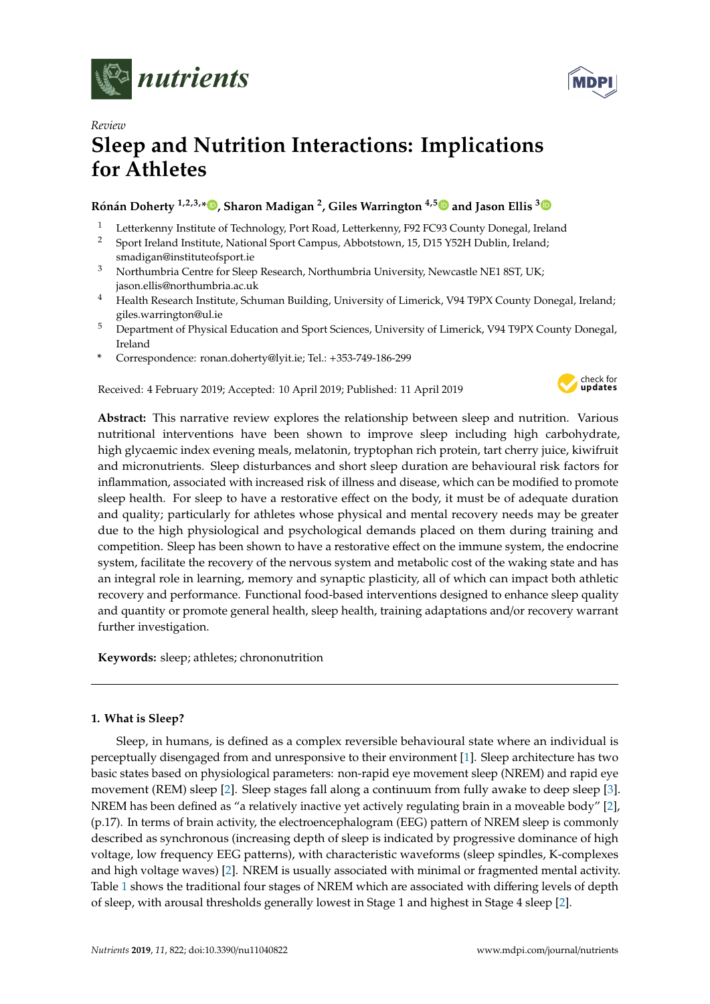



# *Review* **Sleep and Nutrition Interactions: Implications for Athletes**

# **Rónán Doherty 1,2,3,[\\*](https://orcid.org/0000-0002-7808-1715) , Sharon Madigan <sup>2</sup> , Giles Warrington 4,[5](https://orcid.org/0000-0001-6473-3607) and Jason Ellis [3](https://orcid.org/0000-0002-8496-520X)**

- <sup>1</sup> Letterkenny Institute of Technology, Port Road, Letterkenny, F92 FC93 County Donegal, Ireland<br><sup>2</sup> Sport Ireland Institute National Sport Campus, Abbotstown, 15, D15 Y52H Dublin, Ireland
- <sup>2</sup> Sport Ireland Institute, National Sport Campus, Abbotstown, 15, D15 Y52H Dublin, Ireland; smadigan@instituteofsport.ie
- <sup>3</sup> Northumbria Centre for Sleep Research, Northumbria University, Newcastle NE1 8ST, UK; jason.ellis@northumbria.ac.uk
- <sup>4</sup> Health Research Institute, Schuman Building, University of Limerick, V94 T9PX County Donegal, Ireland; giles.warrington@ul.ie
- <sup>5</sup> Department of Physical Education and Sport Sciences, University of Limerick, V94 T9PX County Donegal, Ireland
- **\*** Correspondence: ronan.doherty@lyit.ie; Tel.: +353-749-186-299

Received: 4 February 2019; Accepted: 10 April 2019; Published: 11 April 2019



**Abstract:** This narrative review explores the relationship between sleep and nutrition. Various nutritional interventions have been shown to improve sleep including high carbohydrate, high glycaemic index evening meals, melatonin, tryptophan rich protein, tart cherry juice, kiwifruit and micronutrients. Sleep disturbances and short sleep duration are behavioural risk factors for inflammation, associated with increased risk of illness and disease, which can be modified to promote sleep health. For sleep to have a restorative effect on the body, it must be of adequate duration and quality; particularly for athletes whose physical and mental recovery needs may be greater due to the high physiological and psychological demands placed on them during training and competition. Sleep has been shown to have a restorative effect on the immune system, the endocrine system, facilitate the recovery of the nervous system and metabolic cost of the waking state and has an integral role in learning, memory and synaptic plasticity, all of which can impact both athletic recovery and performance. Functional food-based interventions designed to enhance sleep quality and quantity or promote general health, sleep health, training adaptations and/or recovery warrant further investigation.

**Keywords:** sleep; athletes; chrononutrition

# **1. What is Sleep?**

Sleep, in humans, is defined as a complex reversible behavioural state where an individual is perceptually disengaged from and unresponsive to their environment [\[1\]](#page-9-0). Sleep architecture has two basic states based on physiological parameters: non-rapid eye movement sleep (NREM) and rapid eye movement (REM) sleep [\[2\]](#page-9-1). Sleep stages fall along a continuum from fully awake to deep sleep [\[3\]](#page-9-2). NREM has been defined as "a relatively inactive yet actively regulating brain in a moveable body" [\[2\]](#page-9-1), (p.17). In terms of brain activity, the electroencephalogram (EEG) pattern of NREM sleep is commonly described as synchronous (increasing depth of sleep is indicated by progressive dominance of high voltage, low frequency EEG patterns), with characteristic waveforms (sleep spindles, K-complexes and high voltage waves) [\[2\]](#page-9-1). NREM is usually associated with minimal or fragmented mental activity. Table [1](#page-1-0) shows the traditional four stages of NREM which are associated with differing levels of depth of sleep, with arousal thresholds generally lowest in Stage 1 and highest in Stage 4 sleep [\[2\]](#page-9-1).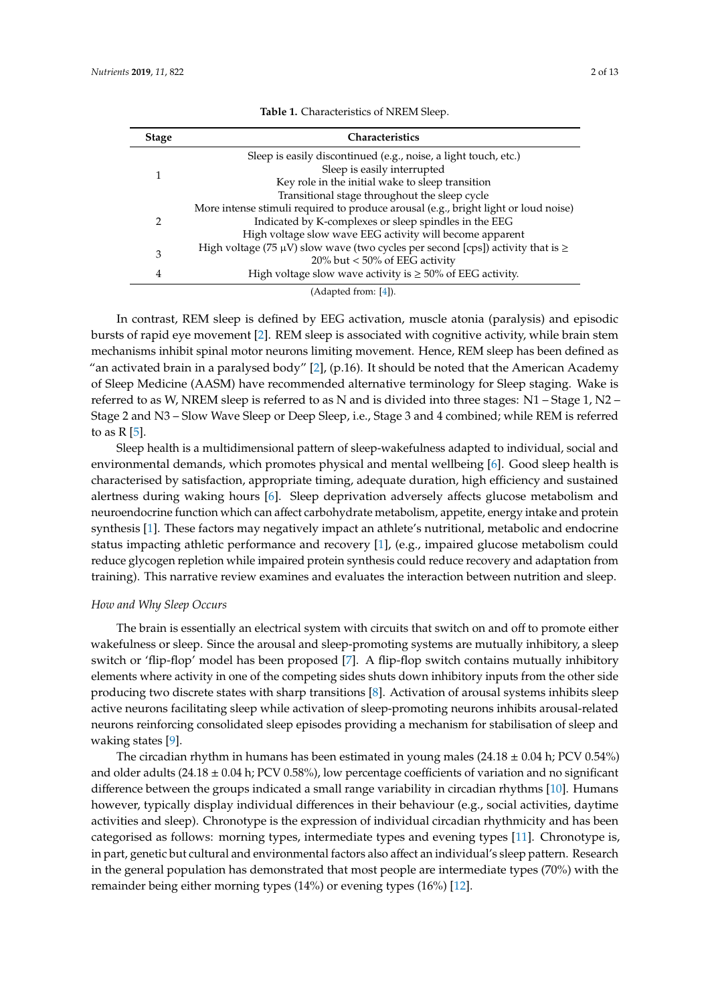<span id="page-1-0"></span>

| <b>Stage</b> | <b>Characteristics</b>                                                                    |
|--------------|-------------------------------------------------------------------------------------------|
|              | Sleep is easily discontinued (e.g., noise, a light touch, etc.)                           |
|              | Sleep is easily interrupted                                                               |
|              | Key role in the initial wake to sleep transition                                          |
|              | Transitional stage throughout the sleep cycle                                             |
| 2            | More intense stimuli required to produce arousal (e.g., bright light or loud noise)       |
|              | Indicated by K-complexes or sleep spindles in the EEG                                     |
|              | High voltage slow wave EEG activity will become apparent                                  |
| 3            | High voltage (75 $\mu$ V) slow wave (two cycles per second [cps]) activity that is $\geq$ |
|              | 20% but $<$ 50% of EEG activity                                                           |
| 4            | High voltage slow wave activity is $\geq 50\%$ of EEG activity.                           |

**Table 1.** Characteristics of NREM Sleep.

In contrast, REM sleep is defined by EEG activation, muscle atonia (paralysis) and episodic bursts of rapid eye movement [\[2\]](#page-9-1). REM sleep is associated with cognitive activity, while brain stem mechanisms inhibit spinal motor neurons limiting movement. Hence, REM sleep has been defined as "an activated brain in a paralysed body"  $[2]$ , (p.16). It should be noted that the American Academy of Sleep Medicine (AASM) have recommended alternative terminology for Sleep staging. Wake is referred to as W, NREM sleep is referred to as N and is divided into three stages: N1 – Stage 1, N2 – Stage 2 and N3 – Slow Wave Sleep or Deep Sleep, i.e., Stage 3 and 4 combined; while REM is referred to as  $R [5]$  $R [5]$ .

Sleep health is a multidimensional pattern of sleep-wakefulness adapted to individual, social and environmental demands, which promotes physical and mental wellbeing [\[6\]](#page-9-5). Good sleep health is characterised by satisfaction, appropriate timing, adequate duration, high efficiency and sustained alertness during waking hours [\[6\]](#page-9-5). Sleep deprivation adversely affects glucose metabolism and neuroendocrine function which can affect carbohydrate metabolism, appetite, energy intake and protein synthesis [\[1\]](#page-9-0). These factors may negatively impact an athlete's nutritional, metabolic and endocrine status impacting athletic performance and recovery [\[1\]](#page-9-0), (e.g., impaired glucose metabolism could reduce glycogen repletion while impaired protein synthesis could reduce recovery and adaptation from training). This narrative review examines and evaluates the interaction between nutrition and sleep.

# *How and Why Sleep Occurs*

The brain is essentially an electrical system with circuits that switch on and off to promote either wakefulness or sleep. Since the arousal and sleep-promoting systems are mutually inhibitory, a sleep switch or 'flip-flop' model has been proposed [\[7\]](#page-9-6). A flip-flop switch contains mutually inhibitory elements where activity in one of the competing sides shuts down inhibitory inputs from the other side producing two discrete states with sharp transitions [\[8\]](#page-9-7). Activation of arousal systems inhibits sleep active neurons facilitating sleep while activation of sleep-promoting neurons inhibits arousal-related neurons reinforcing consolidated sleep episodes providing a mechanism for stabilisation of sleep and waking states [\[9\]](#page-9-8).

The circadian rhythm in humans has been estimated in young males  $(24.18 \pm 0.04 \text{ h})$ ; PCV 0.54%) and older adults  $(24.18 \pm 0.04 \text{ h})$ ; PCV 0.58%), low percentage coefficients of variation and no significant difference between the groups indicated a small range variability in circadian rhythms [\[10\]](#page-9-9). Humans however, typically display individual differences in their behaviour (e.g., social activities, daytime activities and sleep). Chronotype is the expression of individual circadian rhythmicity and has been categorised as follows: morning types, intermediate types and evening types [\[11\]](#page-9-10). Chronotype is, in part, genetic but cultural and environmental factors also affect an individual's sleep pattern. Research in the general population has demonstrated that most people are intermediate types (70%) with the remainder being either morning types (14%) or evening types (16%) [\[12\]](#page-9-11).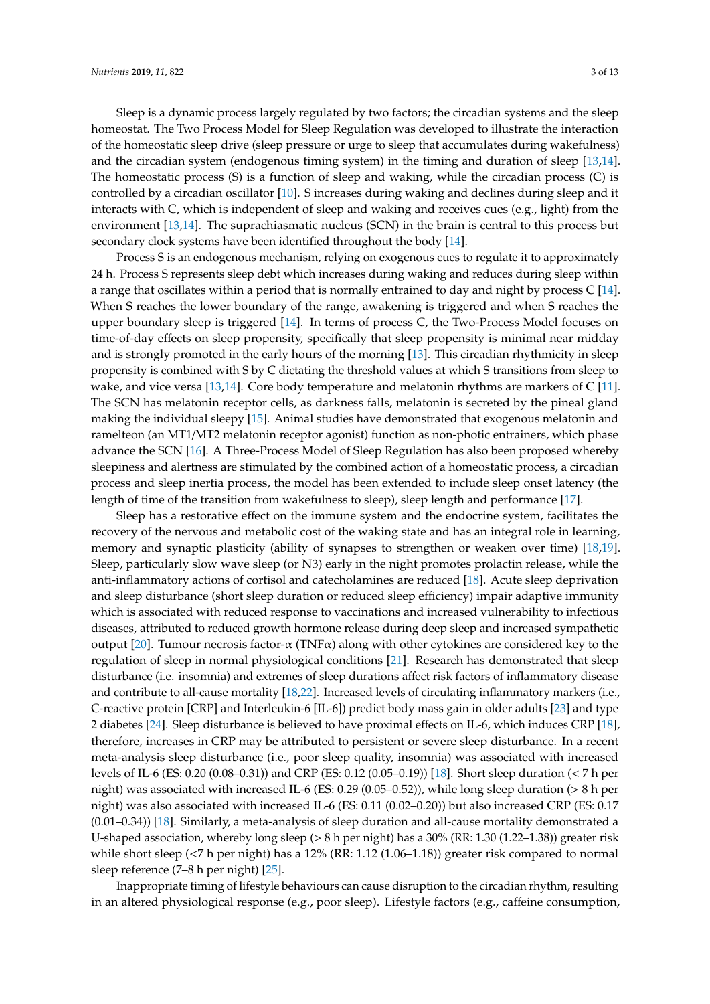Sleep is a dynamic process largely regulated by two factors; the circadian systems and the sleep homeostat. The Two Process Model for Sleep Regulation was developed to illustrate the interaction of the homeostatic sleep drive (sleep pressure or urge to sleep that accumulates during wakefulness) and the circadian system (endogenous timing system) in the timing and duration of sleep [\[13,](#page-9-12)[14\]](#page-9-13). The homeostatic process (S) is a function of sleep and waking, while the circadian process (C) is controlled by a circadian oscillator [\[10\]](#page-9-9). S increases during waking and declines during sleep and it interacts with C, which is independent of sleep and waking and receives cues (e.g., light) from the environment [\[13,](#page-9-12)[14\]](#page-9-13). The suprachiasmatic nucleus (SCN) in the brain is central to this process but secondary clock systems have been identified throughout the body [\[14\]](#page-9-13).

Process S is an endogenous mechanism, relying on exogenous cues to regulate it to approximately 24 h. Process S represents sleep debt which increases during waking and reduces during sleep within a range that oscillates within a period that is normally entrained to day and night by process C [\[14\]](#page-9-13). When S reaches the lower boundary of the range, awakening is triggered and when S reaches the upper boundary sleep is triggered [\[14\]](#page-9-13). In terms of process C, the Two-Process Model focuses on time-of-day effects on sleep propensity, specifically that sleep propensity is minimal near midday and is strongly promoted in the early hours of the morning [\[13\]](#page-9-12). This circadian rhythmicity in sleep propensity is combined with S by C dictating the threshold values at which S transitions from sleep to wake, and vice versa [\[13](#page-9-12)[,14\]](#page-9-13). Core body temperature and melatonin rhythms are markers of C [\[11\]](#page-9-10). The SCN has melatonin receptor cells, as darkness falls, melatonin is secreted by the pineal gland making the individual sleepy [\[15\]](#page-10-0). Animal studies have demonstrated that exogenous melatonin and ramelteon (an MT1/MT2 melatonin receptor agonist) function as non-photic entrainers, which phase advance the SCN [\[16\]](#page-10-1). A Three-Process Model of Sleep Regulation has also been proposed whereby sleepiness and alertness are stimulated by the combined action of a homeostatic process, a circadian process and sleep inertia process, the model has been extended to include sleep onset latency (the length of time of the transition from wakefulness to sleep), sleep length and performance [\[17\]](#page-10-2).

Sleep has a restorative effect on the immune system and the endocrine system, facilitates the recovery of the nervous and metabolic cost of the waking state and has an integral role in learning, memory and synaptic plasticity (ability of synapses to strengthen or weaken over time) [\[18,](#page-10-3)[19\]](#page-10-4). Sleep, particularly slow wave sleep (or N3) early in the night promotes prolactin release, while the anti-inflammatory actions of cortisol and catecholamines are reduced [\[18\]](#page-10-3). Acute sleep deprivation and sleep disturbance (short sleep duration or reduced sleep efficiency) impair adaptive immunity which is associated with reduced response to vaccinations and increased vulnerability to infectious diseases, attributed to reduced growth hormone release during deep sleep and increased sympathetic output [\[20\]](#page-10-5). Tumour necrosis factor-α (TNFα) along with other cytokines are considered key to the regulation of sleep in normal physiological conditions [\[21\]](#page-10-6). Research has demonstrated that sleep disturbance (i.e. insomnia) and extremes of sleep durations affect risk factors of inflammatory disease and contribute to all-cause mortality [\[18,](#page-10-3)[22\]](#page-10-7). Increased levels of circulating inflammatory markers (i.e., C-reactive protein [CRP] and Interleukin-6 [IL-6]) predict body mass gain in older adults [\[23\]](#page-10-8) and type 2 diabetes [\[24\]](#page-10-9). Sleep disturbance is believed to have proximal effects on IL-6, which induces CRP [\[18\]](#page-10-3), therefore, increases in CRP may be attributed to persistent or severe sleep disturbance. In a recent meta-analysis sleep disturbance (i.e., poor sleep quality, insomnia) was associated with increased levels of IL-6 (ES: 0.20 (0.08–0.31)) and CRP (ES: 0.12 (0.05–0.19)) [\[18\]](#page-10-3). Short sleep duration (< 7 h per night) was associated with increased IL-6 (ES: 0.29 (0.05–0.52)), while long sleep duration (> 8 h per night) was also associated with increased IL-6 (ES: 0.11 (0.02–0.20)) but also increased CRP (ES: 0.17 (0.01–0.34)) [\[18\]](#page-10-3). Similarly, a meta-analysis of sleep duration and all-cause mortality demonstrated a U-shaped association, whereby long sleep (> 8 h per night) has a 30% (RR: 1.30 (1.22–1.38)) greater risk while short sleep (<7 h per night) has a 12% (RR: 1.12 (1.06–1.18)) greater risk compared to normal sleep reference (7–8 h per night) [\[25\]](#page-10-10).

Inappropriate timing of lifestyle behaviours can cause disruption to the circadian rhythm, resulting in an altered physiological response (e.g., poor sleep). Lifestyle factors (e.g., caffeine consumption,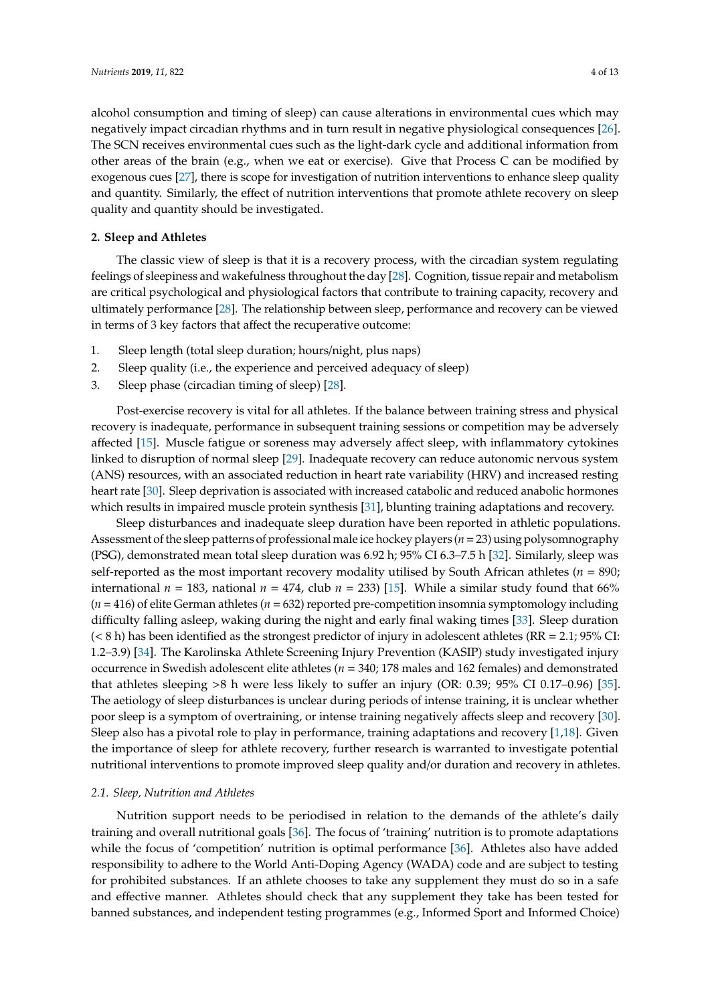alcohol consumption and timing of sleep) can cause alterations in environmental cues which may negatively impact circadian rhythms and in turn result in negative physiological consequences [\[26\]](#page-10-11). The SCN receives environmental cues such as the light-dark cycle and additional information from other areas of the brain (e.g., when we eat or exercise). Give that Process C can be modified by exogenous cues [\[27\]](#page-10-12), there is scope for investigation of nutrition interventions to enhance sleep quality and quantity. Similarly, the effect of nutrition interventions that promote athlete recovery on sleep quality and quantity should be investigated.

# **2. Sleep and Athletes**

The classic view of sleep is that it is a recovery process, with the circadian system regulating feelings of sleepiness and wakefulness throughout the day [\[28\]](#page-10-13). Cognition, tissue repair and metabolism are critical psychological and physiological factors that contribute to training capacity, recovery and ultimately performance [\[28\]](#page-10-13). The relationship between sleep, performance and recovery can be viewed in terms of 3 key factors that affect the recuperative outcome:

- 1. Sleep length (total sleep duration; hours/night, plus naps)
- 2. Sleep quality (i.e., the experience and perceived adequacy of sleep)
- 3. Sleep phase (circadian timing of sleep) [\[28\]](#page-10-13).

Post-exercise recovery is vital for all athletes. If the balance between training stress and physical recovery is inadequate, performance in subsequent training sessions or competition may be adversely affected [\[15\]](#page-10-0). Muscle fatigue or soreness may adversely affect sleep, with inflammatory cytokines linked to disruption of normal sleep [\[29\]](#page-10-14). Inadequate recovery can reduce autonomic nervous system (ANS) resources, with an associated reduction in heart rate variability (HRV) and increased resting heart rate [\[30\]](#page-10-15). Sleep deprivation is associated with increased catabolic and reduced anabolic hormones which results in impaired muscle protein synthesis [\[31\]](#page-10-16), blunting training adaptations and recovery.

Sleep disturbances and inadequate sleep duration have been reported in athletic populations. Assessment of the sleep patterns of professional male ice hockey players (*n*=23) using polysomnography (PSG), demonstrated mean total sleep duration was 6.92 h; 95% CI 6.3–7.5 h [\[32\]](#page-10-17). Similarly, sleep was self-reported as the most important recovery modality utilised by South African athletes (*n* = 890; international  $n = 183$ , national  $n = 474$ , club  $n = 233$  [\[15\]](#page-10-0). While a similar study found that 66% (*n* = 416) of elite German athletes (*n* = 632) reported pre-competition insomnia symptomology including difficulty falling asleep, waking during the night and early final waking times [\[33\]](#page-10-18). Sleep duration  $(< 8 \text{ h})$  has been identified as the strongest predictor of injury in adolescent athletes (RR = 2.1; 95% CI: 1.2–3.9) [\[34\]](#page-10-19). The Karolinska Athlete Screening Injury Prevention (KASIP) study investigated injury occurrence in Swedish adolescent elite athletes (*n* = 340; 178 males and 162 females) and demonstrated that athletes sleeping >8 h were less likely to suffer an injury (OR: 0.39; 95% CI 0.17–0.96) [\[35\]](#page-10-20). The aetiology of sleep disturbances is unclear during periods of intense training, it is unclear whether poor sleep is a symptom of overtraining, or intense training negatively affects sleep and recovery [\[30\]](#page-10-15). Sleep also has a pivotal role to play in performance, training adaptations and recovery [\[1](#page-9-0)[,18\]](#page-10-3). Given the importance of sleep for athlete recovery, further research is warranted to investigate potential nutritional interventions to promote improved sleep quality and/or duration and recovery in athletes.

### *2.1. Sleep, Nutrition and Athletes*

Nutrition support needs to be periodised in relation to the demands of the athlete's daily training and overall nutritional goals [\[36\]](#page-10-21). The focus of 'training' nutrition is to promote adaptations while the focus of 'competition' nutrition is optimal performance [\[36\]](#page-10-21). Athletes also have added responsibility to adhere to the World Anti-Doping Agency (WADA) code and are subject to testing for prohibited substances. If an athlete chooses to take any supplement they must do so in a safe and effective manner. Athletes should check that any supplement they take has been tested for banned substances, and independent testing programmes (e.g., Informed Sport and Informed Choice)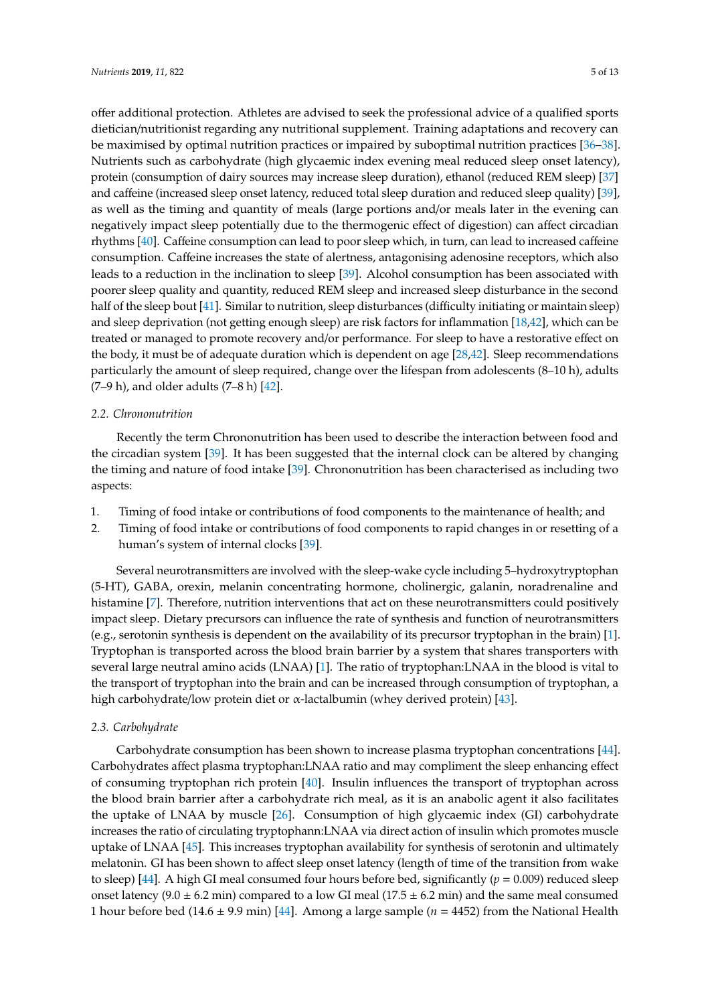offer additional protection. Athletes are advised to seek the professional advice of a qualified sports dietician/nutritionist regarding any nutritional supplement. Training adaptations and recovery can be maximised by optimal nutrition practices or impaired by suboptimal nutrition practices [\[36–](#page-10-21)[38\]](#page-11-0). Nutrients such as carbohydrate (high glycaemic index evening meal reduced sleep onset latency), protein (consumption of dairy sources may increase sleep duration), ethanol (reduced REM sleep) [\[37\]](#page-10-22) and caffeine (increased sleep onset latency, reduced total sleep duration and reduced sleep quality) [\[39\]](#page-11-1), as well as the timing and quantity of meals (large portions and/or meals later in the evening can negatively impact sleep potentially due to the thermogenic effect of digestion) can affect circadian rhythms [\[40\]](#page-11-2). Caffeine consumption can lead to poor sleep which, in turn, can lead to increased caffeine consumption. Caffeine increases the state of alertness, antagonising adenosine receptors, which also leads to a reduction in the inclination to sleep [\[39\]](#page-11-1). Alcohol consumption has been associated with poorer sleep quality and quantity, reduced REM sleep and increased sleep disturbance in the second half of the sleep bout [\[41\]](#page-11-3). Similar to nutrition, sleep disturbances (difficulty initiating or maintain sleep) and sleep deprivation (not getting enough sleep) are risk factors for inflammation [\[18,](#page-10-3)[42\]](#page-11-4), which can be treated or managed to promote recovery and/or performance. For sleep to have a restorative effect on the body, it must be of adequate duration which is dependent on age [\[28](#page-10-13)[,42\]](#page-11-4). Sleep recommendations particularly the amount of sleep required, change over the lifespan from adolescents (8–10 h), adults  $(7-9 h)$ , and older adults  $(7-8 h) [42]$  $(7-8 h) [42]$ .

#### *2.2. Chrononutrition*

Recently the term Chrononutrition has been used to describe the interaction between food and the circadian system [\[39\]](#page-11-1). It has been suggested that the internal clock can be altered by changing the timing and nature of food intake [\[39\]](#page-11-1). Chrononutrition has been characterised as including two aspects:

- 1. Timing of food intake or contributions of food components to the maintenance of health; and
- 2. Timing of food intake or contributions of food components to rapid changes in or resetting of a human's system of internal clocks [\[39\]](#page-11-1).

Several neurotransmitters are involved with the sleep-wake cycle including 5–hydroxytryptophan (5-HT), GABA, orexin, melanin concentrating hormone, cholinergic, galanin, noradrenaline and histamine [\[7\]](#page-9-6). Therefore, nutrition interventions that act on these neurotransmitters could positively impact sleep. Dietary precursors can influence the rate of synthesis and function of neurotransmitters (e.g., serotonin synthesis is dependent on the availability of its precursor tryptophan in the brain) [\[1\]](#page-9-0). Tryptophan is transported across the blood brain barrier by a system that shares transporters with several large neutral amino acids (LNAA) [\[1\]](#page-9-0). The ratio of tryptophan:LNAA in the blood is vital to the transport of tryptophan into the brain and can be increased through consumption of tryptophan, a high carbohydrate/low protein diet or  $\alpha$ -lactalbumin (whey derived protein) [\[43\]](#page-11-5).

#### *2.3. Carbohydrate*

Carbohydrate consumption has been shown to increase plasma tryptophan concentrations [\[44\]](#page-11-6). Carbohydrates affect plasma tryptophan:LNAA ratio and may compliment the sleep enhancing effect of consuming tryptophan rich protein [\[40\]](#page-11-2). Insulin influences the transport of tryptophan across the blood brain barrier after a carbohydrate rich meal, as it is an anabolic agent it also facilitates the uptake of LNAA by muscle [\[26\]](#page-10-11). Consumption of high glycaemic index (GI) carbohydrate increases the ratio of circulating tryptophann:LNAA via direct action of insulin which promotes muscle uptake of LNAA [\[45\]](#page-11-7). This increases tryptophan availability for synthesis of serotonin and ultimately melatonin. GI has been shown to affect sleep onset latency (length of time of the transition from wake to sleep) [\[44\]](#page-11-6). A high GI meal consumed four hours before bed, significantly  $(p = 0.009)$  reduced sleep onset latency (9.0  $\pm$  6.2 min) compared to a low GI meal (17.5  $\pm$  6.2 min) and the same meal consumed 1 hour before bed (14.6 ± 9.9 min) [\[44\]](#page-11-6). Among a large sample (*n* = 4452) from the National Health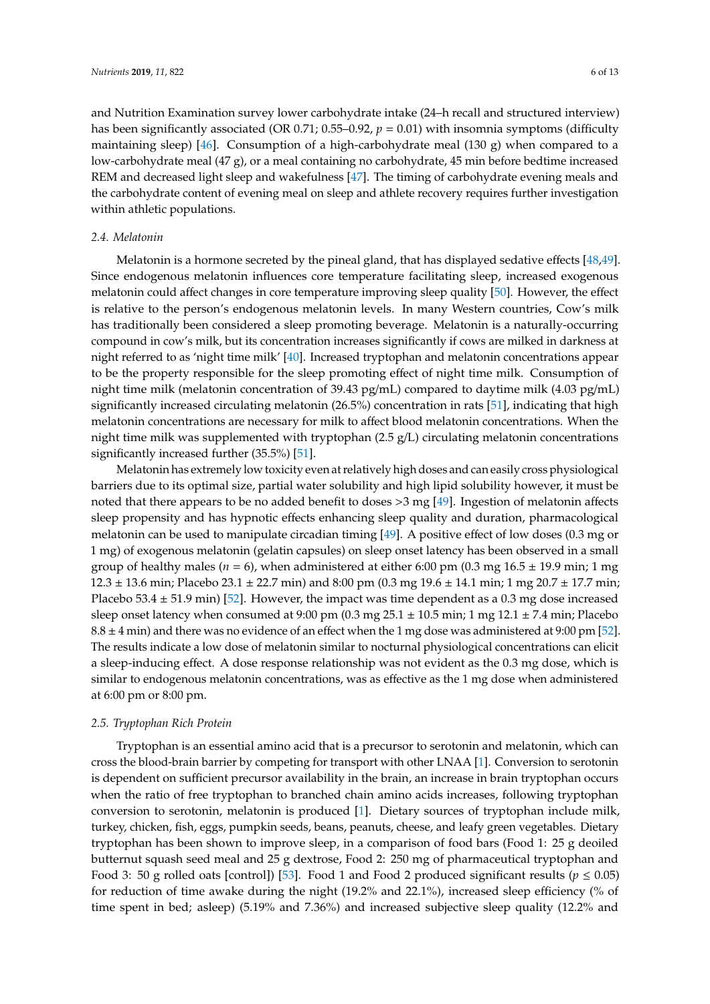and Nutrition Examination survey lower carbohydrate intake (24–h recall and structured interview) has been significantly associated (OR 0.71; 0.55–0.92, *p* = 0.01) with insomnia symptoms (difficulty maintaining sleep) [\[46\]](#page-11-8). Consumption of a high-carbohydrate meal (130 g) when compared to a low-carbohydrate meal (47 g), or a meal containing no carbohydrate, 45 min before bedtime increased REM and decreased light sleep and wakefulness [\[47\]](#page-11-9). The timing of carbohydrate evening meals and the carbohydrate content of evening meal on sleep and athlete recovery requires further investigation within athletic populations.

#### *2.4. Melatonin*

Melatonin is a hormone secreted by the pineal gland, that has displayed sedative effects [\[48,](#page-11-10)[49\]](#page-11-11). Since endogenous melatonin influences core temperature facilitating sleep, increased exogenous melatonin could affect changes in core temperature improving sleep quality [\[50\]](#page-11-12). However, the effect is relative to the person's endogenous melatonin levels. In many Western countries, Cow's milk has traditionally been considered a sleep promoting beverage. Melatonin is a naturally-occurring compound in cow's milk, but its concentration increases significantly if cows are milked in darkness at night referred to as 'night time milk' [\[40\]](#page-11-2). Increased tryptophan and melatonin concentrations appear to be the property responsible for the sleep promoting effect of night time milk. Consumption of night time milk (melatonin concentration of 39.43 pg/mL) compared to daytime milk (4.03 pg/mL) significantly increased circulating melatonin (26.5%) concentration in rats [\[51\]](#page-11-13), indicating that high melatonin concentrations are necessary for milk to affect blood melatonin concentrations. When the night time milk was supplemented with tryptophan (2.5 g/L) circulating melatonin concentrations significantly increased further (35.5%) [\[51\]](#page-11-13).

Melatonin has extremely low toxicity even at relatively high doses and can easily cross physiological barriers due to its optimal size, partial water solubility and high lipid solubility however, it must be noted that there appears to be no added benefit to doses >3 mg [\[49\]](#page-11-11). Ingestion of melatonin affects sleep propensity and has hypnotic effects enhancing sleep quality and duration, pharmacological melatonin can be used to manipulate circadian timing [\[49\]](#page-11-11). A positive effect of low doses (0.3 mg or 1 mg) of exogenous melatonin (gelatin capsules) on sleep onset latency has been observed in a small group of healthy males ( $n = 6$ ), when administered at either 6:00 pm (0.3 mg 16.5  $\pm$  19.9 min; 1 mg  $12.3 \pm 13.6$  min; Placebo 23.1  $\pm$  22.7 min) and 8:00 pm (0.3 mg 19.6  $\pm$  14.1 min; 1 mg 20.7  $\pm$  17.7 min; Placebo 53.4  $\pm$  51.9 min) [\[52\]](#page-11-14). However, the impact was time dependent as a 0.3 mg dose increased sleep onset latency when consumed at 9:00 pm (0.3 mg  $25.1 \pm 10.5$  min; 1 mg  $12.1 \pm 7.4$  min; Placebo  $8.8 \pm 4$  min) and there was no evidence of an effect when the 1 mg dose was administered at 9:00 pm [\[52\]](#page-11-14). The results indicate a low dose of melatonin similar to nocturnal physiological concentrations can elicit a sleep-inducing effect. A dose response relationship was not evident as the 0.3 mg dose, which is similar to endogenous melatonin concentrations, was as effective as the 1 mg dose when administered at 6:00 pm or 8:00 pm.

# *2.5. Tryptophan Rich Protein*

Tryptophan is an essential amino acid that is a precursor to serotonin and melatonin, which can cross the blood-brain barrier by competing for transport with other LNAA [\[1\]](#page-9-0). Conversion to serotonin is dependent on sufficient precursor availability in the brain, an increase in brain tryptophan occurs when the ratio of free tryptophan to branched chain amino acids increases, following tryptophan conversion to serotonin, melatonin is produced [\[1\]](#page-9-0). Dietary sources of tryptophan include milk, turkey, chicken, fish, eggs, pumpkin seeds, beans, peanuts, cheese, and leafy green vegetables. Dietary tryptophan has been shown to improve sleep, in a comparison of food bars (Food 1: 25 g deoiled butternut squash seed meal and 25 g dextrose, Food 2: 250 mg of pharmaceutical tryptophan and Food 3: 50 g rolled oats [control]) [\[53\]](#page-11-15). Food 1 and Food 2 produced significant results ( $p \le 0.05$ ) for reduction of time awake during the night (19.2% and 22.1%), increased sleep efficiency (% of time spent in bed; asleep) (5.19% and 7.36%) and increased subjective sleep quality (12.2% and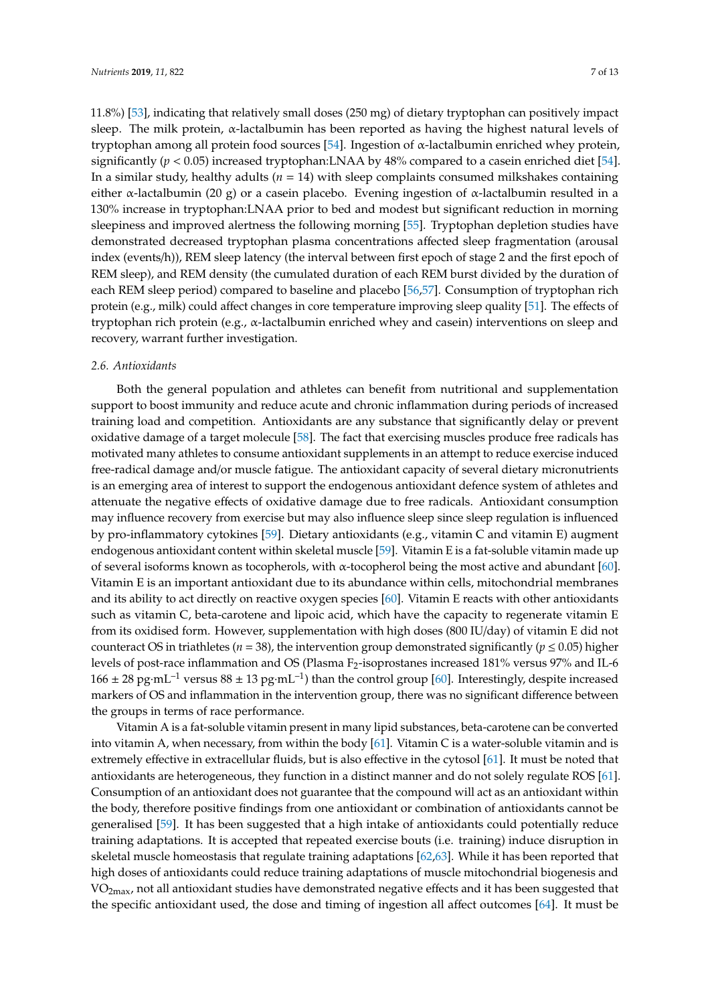11.8%) [\[53\]](#page-11-15), indicating that relatively small doses (250 mg) of dietary tryptophan can positively impact sleep. The milk protein,  $\alpha$ -lactalbumin has been reported as having the highest natural levels of tryptophan among all protein food sources [\[54\]](#page-11-16). Ingestion of α-lactalbumin enriched whey protein, significantly (*p* < 0.05) increased tryptophan:LNAA by 48% compared to a casein enriched diet [\[54\]](#page-11-16). In a similar study, healthy adults (*n* = 14) with sleep complaints consumed milkshakes containing either  $\alpha$ -lactalbumin (20 g) or a casein placebo. Evening ingestion of  $\alpha$ -lactalbumin resulted in a 130% increase in tryptophan:LNAA prior to bed and modest but significant reduction in morning sleepiness and improved alertness the following morning [\[55\]](#page-11-17). Tryptophan depletion studies have demonstrated decreased tryptophan plasma concentrations affected sleep fragmentation (arousal index (events/h)), REM sleep latency (the interval between first epoch of stage 2 and the first epoch of REM sleep), and REM density (the cumulated duration of each REM burst divided by the duration of each REM sleep period) compared to baseline and placebo [\[56,](#page-11-18)[57\]](#page-11-19). Consumption of tryptophan rich protein (e.g., milk) could affect changes in core temperature improving sleep quality [\[51\]](#page-11-13). The effects of tryptophan rich protein (e.g., α-lactalbumin enriched whey and casein) interventions on sleep and recovery, warrant further investigation.

#### *2.6. Antioxidants*

Both the general population and athletes can benefit from nutritional and supplementation support to boost immunity and reduce acute and chronic inflammation during periods of increased training load and competition. Antioxidants are any substance that significantly delay or prevent oxidative damage of a target molecule [\[58\]](#page-11-20). The fact that exercising muscles produce free radicals has motivated many athletes to consume antioxidant supplements in an attempt to reduce exercise induced free-radical damage and/or muscle fatigue. The antioxidant capacity of several dietary micronutrients is an emerging area of interest to support the endogenous antioxidant defence system of athletes and attenuate the negative effects of oxidative damage due to free radicals. Antioxidant consumption may influence recovery from exercise but may also influence sleep since sleep regulation is influenced by pro-inflammatory cytokines [\[59\]](#page-11-21). Dietary antioxidants (e.g., vitamin C and vitamin E) augment endogenous antioxidant content within skeletal muscle [\[59\]](#page-11-21). Vitamin E is a fat-soluble vitamin made up of several isoforms known as tocopherols, with α-tocopherol being the most active and abundant [\[60\]](#page-12-0). Vitamin E is an important antioxidant due to its abundance within cells, mitochondrial membranes and its ability to act directly on reactive oxygen species [\[60\]](#page-12-0). Vitamin E reacts with other antioxidants such as vitamin C, beta-carotene and lipoic acid, which have the capacity to regenerate vitamin E from its oxidised form. However, supplementation with high doses (800 IU/day) of vitamin E did not counteract OS in triathletes ( $n = 38$ ), the intervention group demonstrated significantly ( $p \le 0.05$ ) higher levels of post-race inflammation and OS (Plasma F<sub>2</sub>-isoprostanes increased 181% versus 97% and IL-6  $166 \pm 28$  pg·mL<sup>-1</sup> versus  $88 \pm 13$  pg·mL<sup>-1</sup>) than the control group [\[60\]](#page-12-0). Interestingly, despite increased markers of OS and inflammation in the intervention group, there was no significant difference between the groups in terms of race performance.

Vitamin A is a fat-soluble vitamin present in many lipid substances, beta-carotene can be converted into vitamin A, when necessary, from within the body [\[61\]](#page-12-1). Vitamin C is a water-soluble vitamin and is extremely effective in extracellular fluids, but is also effective in the cytosol [\[61\]](#page-12-1). It must be noted that antioxidants are heterogeneous, they function in a distinct manner and do not solely regulate ROS [\[61\]](#page-12-1). Consumption of an antioxidant does not guarantee that the compound will act as an antioxidant within the body, therefore positive findings from one antioxidant or combination of antioxidants cannot be generalised [\[59\]](#page-11-21). It has been suggested that a high intake of antioxidants could potentially reduce training adaptations. It is accepted that repeated exercise bouts (i.e. training) induce disruption in skeletal muscle homeostasis that regulate training adaptations [\[62,](#page-12-2)[63\]](#page-12-3). While it has been reported that high doses of antioxidants could reduce training adaptations of muscle mitochondrial biogenesis and VO<sub>2max</sub>, not all antioxidant studies have demonstrated negative effects and it has been suggested that the specific antioxidant used, the dose and timing of ingestion all affect outcomes [\[64\]](#page-12-4). It must be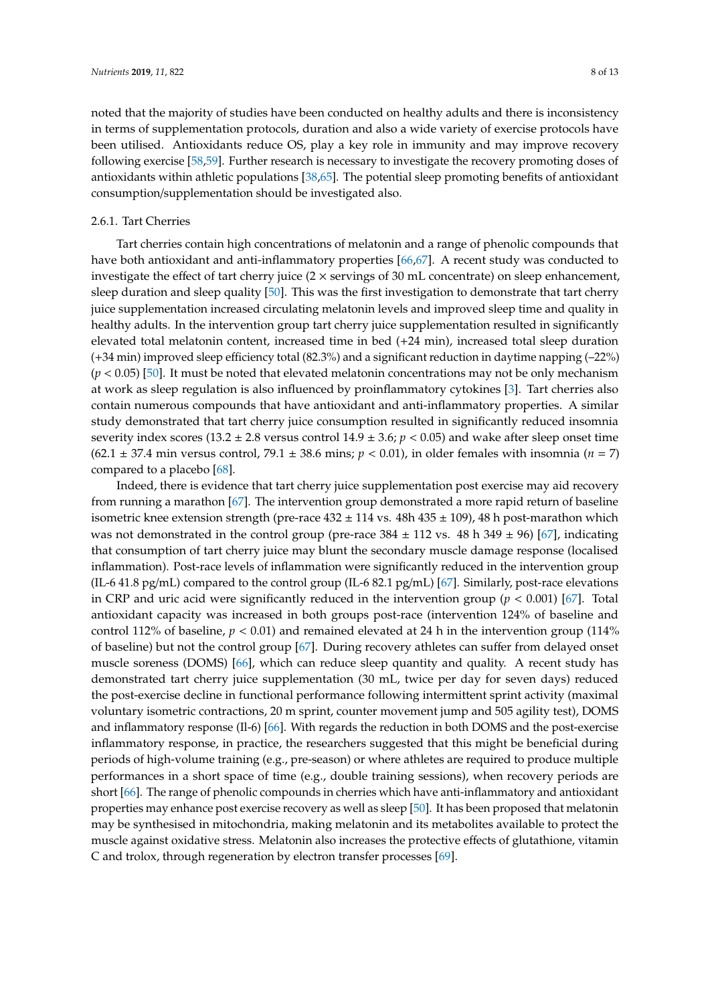noted that the majority of studies have been conducted on healthy adults and there is inconsistency in terms of supplementation protocols, duration and also a wide variety of exercise protocols have been utilised. Antioxidants reduce OS, play a key role in immunity and may improve recovery following exercise [\[58](#page-11-20)[,59\]](#page-11-21). Further research is necessary to investigate the recovery promoting doses of antioxidants within athletic populations [\[38,](#page-11-0)[65\]](#page-12-5). The potential sleep promoting benefits of antioxidant consumption/supplementation should be investigated also.

# 2.6.1. Tart Cherries

Tart cherries contain high concentrations of melatonin and a range of phenolic compounds that have both antioxidant and anti-inflammatory properties [\[66](#page-12-6)[,67\]](#page-12-7). A recent study was conducted to investigate the effect of tart cherry juice  $(2 \times$  servings of 30 mL concentrate) on sleep enhancement, sleep duration and sleep quality [\[50\]](#page-11-12). This was the first investigation to demonstrate that tart cherry juice supplementation increased circulating melatonin levels and improved sleep time and quality in healthy adults. In the intervention group tart cherry juice supplementation resulted in significantly elevated total melatonin content, increased time in bed (+24 min), increased total sleep duration (+34 min) improved sleep efficiency total (82.3%) and a significant reduction in daytime napping (–22%)  $(p < 0.05)$  [\[50\]](#page-11-12). It must be noted that elevated melatonin concentrations may not be only mechanism at work as sleep regulation is also influenced by proinflammatory cytokines [\[3\]](#page-9-2). Tart cherries also contain numerous compounds that have antioxidant and anti-inflammatory properties. A similar study demonstrated that tart cherry juice consumption resulted in significantly reduced insomnia severity index scores (13.2  $\pm$  2.8 versus control 14.9  $\pm$  3.6; *p* < 0.05) and wake after sleep onset time (62.1 ± 37.4 min versus control, 79.1 ± 38.6 mins; *p* < 0.01), in older females with insomnia (*n* = 7) compared to a placebo [\[68\]](#page-12-8).

Indeed, there is evidence that tart cherry juice supplementation post exercise may aid recovery from running a marathon [\[67\]](#page-12-7). The intervention group demonstrated a more rapid return of baseline isometric knee extension strength (pre-race  $432 \pm 114$  vs.  $48h$   $435 \pm 109$ ),  $48h$  post-marathon which was not demonstrated in the control group (pre-race  $384 \pm 112$  vs. 48 h  $349 \pm 96$ ) [\[67\]](#page-12-7), indicating that consumption of tart cherry juice may blunt the secondary muscle damage response (localised inflammation). Post-race levels of inflammation were significantly reduced in the intervention group (IL-6 41.8 pg/mL) compared to the control group (IL-6 82.1 pg/mL) [\[67\]](#page-12-7). Similarly, post-race elevations in CRP and uric acid were significantly reduced in the intervention group  $(p < 0.001)$  [\[67\]](#page-12-7). Total antioxidant capacity was increased in both groups post-race (intervention 124% of baseline and control 112% of baseline,  $p < 0.01$ ) and remained elevated at 24 h in the intervention group (114% of baseline) but not the control group [\[67\]](#page-12-7). During recovery athletes can suffer from delayed onset muscle soreness (DOMS) [\[66\]](#page-12-6), which can reduce sleep quantity and quality. A recent study has demonstrated tart cherry juice supplementation (30 mL, twice per day for seven days) reduced the post-exercise decline in functional performance following intermittent sprint activity (maximal voluntary isometric contractions, 20 m sprint, counter movement jump and 505 agility test), DOMS and inflammatory response (Il-6) [\[66\]](#page-12-6). With regards the reduction in both DOMS and the post-exercise inflammatory response, in practice, the researchers suggested that this might be beneficial during periods of high-volume training (e.g., pre-season) or where athletes are required to produce multiple performances in a short space of time (e.g., double training sessions), when recovery periods are short [\[66\]](#page-12-6). The range of phenolic compounds in cherries which have anti-inflammatory and antioxidant properties may enhance post exercise recovery as well as sleep [\[50\]](#page-11-12). It has been proposed that melatonin may be synthesised in mitochondria, making melatonin and its metabolites available to protect the muscle against oxidative stress. Melatonin also increases the protective effects of glutathione, vitamin C and trolox, through regeneration by electron transfer processes [\[69\]](#page-12-9).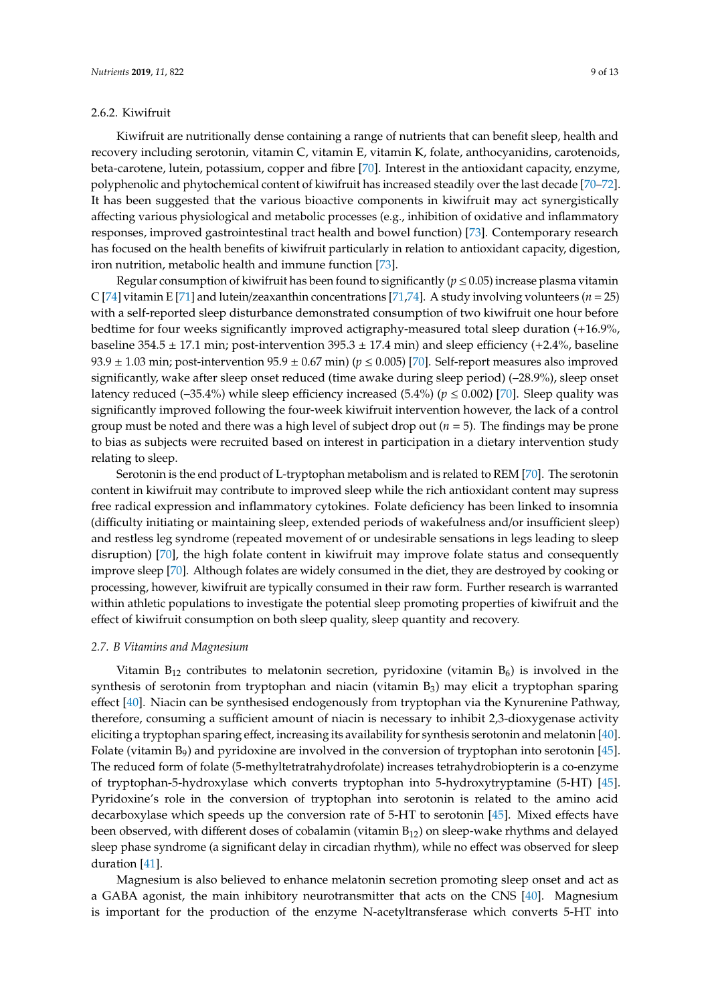# 2.6.2. Kiwifruit

Kiwifruit are nutritionally dense containing a range of nutrients that can benefit sleep, health and recovery including serotonin, vitamin C, vitamin E, vitamin K, folate, anthocyanidins, carotenoids, beta-carotene, lutein, potassium, copper and fibre [\[70\]](#page-12-10). Interest in the antioxidant capacity, enzyme, polyphenolic and phytochemical content of kiwifruit has increased steadily over the last decade [\[70–](#page-12-10)[72\]](#page-12-11). It has been suggested that the various bioactive components in kiwifruit may act synergistically affecting various physiological and metabolic processes (e.g., inhibition of oxidative and inflammatory responses, improved gastrointestinal tract health and bowel function) [\[73\]](#page-12-12). Contemporary research has focused on the health benefits of kiwifruit particularly in relation to antioxidant capacity, digestion, iron nutrition, metabolic health and immune function [\[73\]](#page-12-12).

Regular consumption of kiwifruit has been found to significantly ( $p \le 0.05$ ) increase plasma vitamin C [\[74\]](#page-12-13) vitamin E [\[71\]](#page-12-14) and lutein/zeaxanthin concentrations [\[71,](#page-12-14)[74\]](#page-12-13). A study involving volunteers ( $n = 25$ ) with a self-reported sleep disturbance demonstrated consumption of two kiwifruit one hour before bedtime for four weeks significantly improved actigraphy-measured total sleep duration (+16.9%, baseline  $354.5 \pm 17.1$  min; post-intervention  $395.3 \pm 17.4$  min) and sleep efficiency (+2.4%, baseline 93.9  $\pm$  1.03 min; post-intervention 95.9  $\pm$  0.67 min) ( $p \le 0.005$ ) [\[70\]](#page-12-10). Self-report measures also improved significantly, wake after sleep onset reduced (time awake during sleep period) (–28.9%), sleep onset latency reduced (–35.4%) while sleep efficiency increased (5.4%) ( $p \le 0.002$ ) [\[70\]](#page-12-10). Sleep quality was significantly improved following the four-week kiwifruit intervention however, the lack of a control group must be noted and there was a high level of subject drop out (*n* = 5). The findings may be prone to bias as subjects were recruited based on interest in participation in a dietary intervention study relating to sleep.

Serotonin is the end product of L-tryptophan metabolism and is related to REM [\[70\]](#page-12-10). The serotonin content in kiwifruit may contribute to improved sleep while the rich antioxidant content may supress free radical expression and inflammatory cytokines. Folate deficiency has been linked to insomnia (difficulty initiating or maintaining sleep, extended periods of wakefulness and/or insufficient sleep) and restless leg syndrome (repeated movement of or undesirable sensations in legs leading to sleep disruption) [\[70\]](#page-12-10), the high folate content in kiwifruit may improve folate status and consequently improve sleep [\[70\]](#page-12-10). Although folates are widely consumed in the diet, they are destroyed by cooking or processing, however, kiwifruit are typically consumed in their raw form. Further research is warranted within athletic populations to investigate the potential sleep promoting properties of kiwifruit and the effect of kiwifruit consumption on both sleep quality, sleep quantity and recovery.

# *2.7. B Vitamins and Magnesium*

Vitamin  $B_{12}$  contributes to melatonin secretion, pyridoxine (vitamin  $B_6$ ) is involved in the synthesis of serotonin from tryptophan and niacin (vitamin  $B_3$ ) may elicit a tryptophan sparing effect [\[40\]](#page-11-2). Niacin can be synthesised endogenously from tryptophan via the Kynurenine Pathway, therefore, consuming a sufficient amount of niacin is necessary to inhibit 2,3-dioxygenase activity eliciting a tryptophan sparing effect, increasing its availability for synthesis serotonin and melatonin [\[40\]](#page-11-2). Folate (vitamin  $B_9$ ) and pyridoxine are involved in the conversion of tryptophan into serotonin [\[45\]](#page-11-7). The reduced form of folate (5-methyltetratrahydrofolate) increases tetrahydrobiopterin is a co-enzyme of tryptophan-5-hydroxylase which converts tryptophan into 5-hydroxytryptamine (5-HT) [\[45\]](#page-11-7). Pyridoxine's role in the conversion of tryptophan into serotonin is related to the amino acid decarboxylase which speeds up the conversion rate of 5-HT to serotonin [\[45\]](#page-11-7). Mixed effects have been observed, with different doses of cobalamin (vitamin B12) on sleep-wake rhythms and delayed sleep phase syndrome (a significant delay in circadian rhythm), while no effect was observed for sleep duration [\[41\]](#page-11-3).

Magnesium is also believed to enhance melatonin secretion promoting sleep onset and act as a GABA agonist, the main inhibitory neurotransmitter that acts on the CNS [\[40\]](#page-11-2). Magnesium is important for the production of the enzyme N-acetyltransferase which converts 5-HT into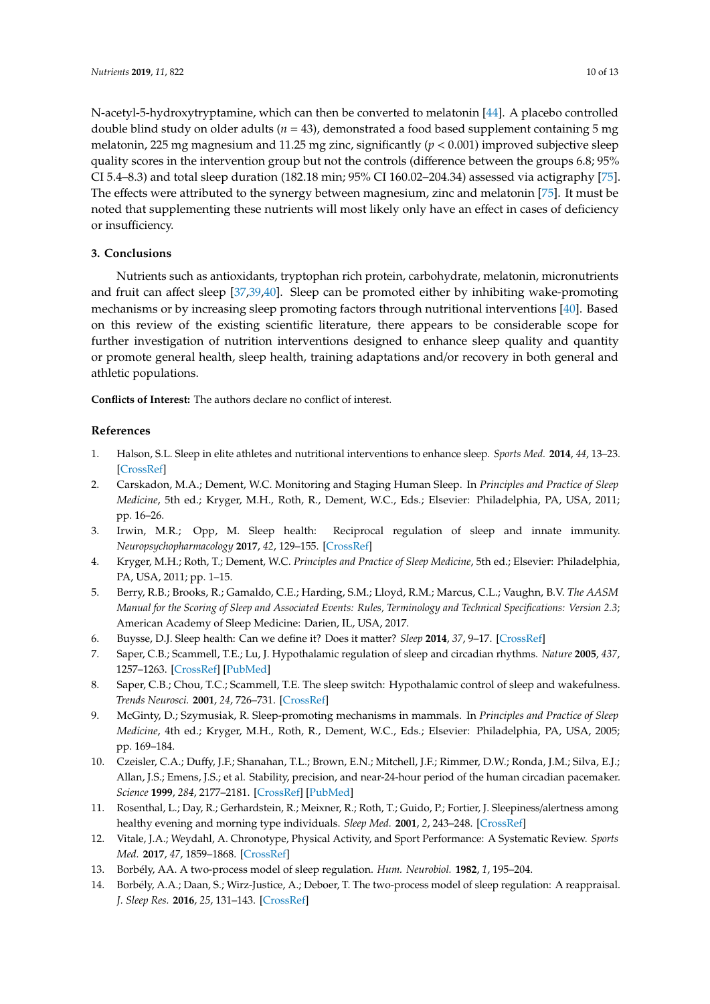N-acetyl-5-hydroxytryptamine, which can then be converted to melatonin [\[44\]](#page-11-6). A placebo controlled double blind study on older adults (*n* = 43), demonstrated a food based supplement containing 5 mg melatonin, 225 mg magnesium and 11.25 mg zinc, significantly (*p* < 0.001) improved subjective sleep quality scores in the intervention group but not the controls (difference between the groups 6.8; 95% CI 5.4–8.3) and total sleep duration (182.18 min; 95% CI 160.02–204.34) assessed via actigraphy [\[75\]](#page-12-15). The effects were attributed to the synergy between magnesium, zinc and melatonin [\[75\]](#page-12-15). It must be noted that supplementing these nutrients will most likely only have an effect in cases of deficiency or insufficiency.

# **3. Conclusions**

Nutrients such as antioxidants, tryptophan rich protein, carbohydrate, melatonin, micronutrients and fruit can affect sleep [\[37](#page-10-22)[,39](#page-11-1)[,40\]](#page-11-2). Sleep can be promoted either by inhibiting wake-promoting mechanisms or by increasing sleep promoting factors through nutritional interventions [\[40\]](#page-11-2). Based on this review of the existing scientific literature, there appears to be considerable scope for further investigation of nutrition interventions designed to enhance sleep quality and quantity or promote general health, sleep health, training adaptations and/or recovery in both general and athletic populations.

**Conflicts of Interest:** The authors declare no conflict of interest.

# **References**

- <span id="page-9-0"></span>1. Halson, S.L. Sleep in elite athletes and nutritional interventions to enhance sleep. *Sports Med.* **2014**, *44*, 13–23. [\[CrossRef\]](http://dx.doi.org/10.1007/s40279-014-0147-0)
- <span id="page-9-1"></span>2. Carskadon, M.A.; Dement, W.C. Monitoring and Staging Human Sleep. In *Principles and Practice of Sleep Medicine*, 5th ed.; Kryger, M.H., Roth, R., Dement, W.C., Eds.; Elsevier: Philadelphia, PA, USA, 2011; pp. 16–26.
- <span id="page-9-2"></span>3. Irwin, M.R.; Opp, M. Sleep health: Reciprocal regulation of sleep and innate immunity. *Neuropsychopharmacology* **2017**, *42*, 129–155. [\[CrossRef\]](http://dx.doi.org/10.1038/npp.2016.148)
- <span id="page-9-3"></span>4. Kryger, M.H.; Roth, T.; Dement, W.C. *Principles and Practice of Sleep Medicine*, 5th ed.; Elsevier: Philadelphia, PA, USA, 2011; pp. 1–15.
- <span id="page-9-4"></span>5. Berry, R.B.; Brooks, R.; Gamaldo, C.E.; Harding, S.M.; Lloyd, R.M.; Marcus, C.L.; Vaughn, B.V. *The AASM Manual for the Scoring of Sleep and Associated Events: Rules, Terminology and Technical Specifications: Version 2.3*; American Academy of Sleep Medicine: Darien, IL, USA, 2017.
- <span id="page-9-5"></span>6. Buysse, D.J. Sleep health: Can we define it? Does it matter? *Sleep* **2014**, *37*, 9–17. [\[CrossRef\]](http://dx.doi.org/10.5665/sleep.3298)
- <span id="page-9-6"></span>7. Saper, C.B.; Scammell, T.E.; Lu, J. Hypothalamic regulation of sleep and circadian rhythms. *Nature* **2005**, *437*, 1257–1263. [\[CrossRef\]](http://dx.doi.org/10.1038/nature04284) [\[PubMed\]](http://www.ncbi.nlm.nih.gov/pubmed/16251950)
- <span id="page-9-7"></span>8. Saper, C.B.; Chou, T.C.; Scammell, T.E. The sleep switch: Hypothalamic control of sleep and wakefulness. *Trends Neurosci.* **2001**, *24*, 726–731. [\[CrossRef\]](http://dx.doi.org/10.1016/S0166-2236(00)02002-6)
- <span id="page-9-8"></span>9. McGinty, D.; Szymusiak, R. Sleep-promoting mechanisms in mammals. In *Principles and Practice of Sleep Medicine*, 4th ed.; Kryger, M.H., Roth, R., Dement, W.C., Eds.; Elsevier: Philadelphia, PA, USA, 2005; pp. 169–184.
- <span id="page-9-9"></span>10. Czeisler, C.A.; Duffy, J.F.; Shanahan, T.L.; Brown, E.N.; Mitchell, J.F.; Rimmer, D.W.; Ronda, J.M.; Silva, E.J.; Allan, J.S.; Emens, J.S.; et al. Stability, precision, and near-24-hour period of the human circadian pacemaker. *Science* **1999**, *284*, 2177–2181. [\[CrossRef\]](http://dx.doi.org/10.1126/science.284.5423.2177) [\[PubMed\]](http://www.ncbi.nlm.nih.gov/pubmed/10381883)
- <span id="page-9-10"></span>11. Rosenthal, L.; Day, R.; Gerhardstein, R.; Meixner, R.; Roth, T.; Guido, P.; Fortier, J. Sleepiness/alertness among healthy evening and morning type individuals. *Sleep Med.* **2001**, *2*, 243–248. [\[CrossRef\]](http://dx.doi.org/10.1016/S1389-9457(00)00047-2)
- <span id="page-9-11"></span>12. Vitale, J.A.; Weydahl, A. Chronotype, Physical Activity, and Sport Performance: A Systematic Review. *Sports Med.* **2017**, *47*, 1859–1868. [\[CrossRef\]](http://dx.doi.org/10.1007/s40279-017-0741-z)
- <span id="page-9-12"></span>13. Borbély, AA. A two-process model of sleep regulation. *Hum. Neurobiol.* **1982**, *1*, 195–204.
- <span id="page-9-13"></span>14. Borbély, A.A.; Daan, S.; Wirz-Justice, A.; Deboer, T. The two-process model of sleep regulation: A reappraisal. *J. Sleep Res.* **2016**, *25*, 131–143. [\[CrossRef\]](http://dx.doi.org/10.1111/jsr.12371)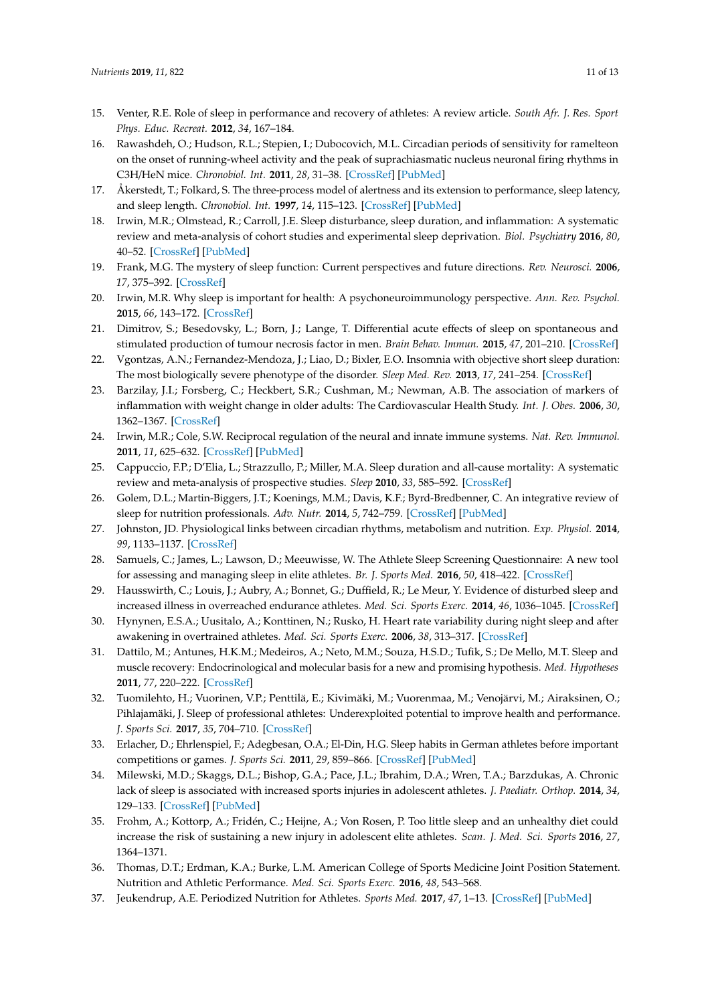- <span id="page-10-0"></span>15. Venter, R.E. Role of sleep in performance and recovery of athletes: A review article. *South Afr. J. Res. Sport Phys. Educ. Recreat.* **2012**, *34*, 167–184.
- <span id="page-10-1"></span>16. Rawashdeh, O.; Hudson, R.L.; Stepien, I.; Dubocovich, M.L. Circadian periods of sensitivity for ramelteon on the onset of running-wheel activity and the peak of suprachiasmatic nucleus neuronal firing rhythms in C3H/HeN mice. *Chronobiol. Int.* **2011**, *28*, 31–38. [\[CrossRef\]](http://dx.doi.org/10.3109/07420528.2010.532894) [\[PubMed\]](http://www.ncbi.nlm.nih.gov/pubmed/21182402)
- <span id="page-10-2"></span>17. Åkerstedt, T.; Folkard, S. The three-process model of alertness and its extension to performance, sleep latency, and sleep length. *Chronobiol. Int.* **1997**, *14*, 115–123. [\[CrossRef\]](http://dx.doi.org/10.3109/07420529709001149) [\[PubMed\]](http://www.ncbi.nlm.nih.gov/pubmed/9095372)
- <span id="page-10-3"></span>18. Irwin, M.R.; Olmstead, R.; Carroll, J.E. Sleep disturbance, sleep duration, and inflammation: A systematic review and meta-analysis of cohort studies and experimental sleep deprivation. *Biol. Psychiatry* **2016**, *80*, 40–52. [\[CrossRef\]](http://dx.doi.org/10.1016/j.biopsych.2015.05.014) [\[PubMed\]](http://www.ncbi.nlm.nih.gov/pubmed/26140821)
- <span id="page-10-4"></span>19. Frank, M.G. The mystery of sleep function: Current perspectives and future directions. *Rev. Neurosci.* **2006**, *17*, 375–392. [\[CrossRef\]](http://dx.doi.org/10.1515/revneuro.2006.17.4.375)
- <span id="page-10-5"></span>20. Irwin, M.R. Why sleep is important for health: A psychoneuroimmunology perspective. *Ann. Rev. Psychol.* **2015**, *66*, 143–172. [\[CrossRef\]](http://dx.doi.org/10.1146/annurev-psych-010213-115205)
- <span id="page-10-6"></span>21. Dimitrov, S.; Besedovsky, L.; Born, J.; Lange, T. Differential acute effects of sleep on spontaneous and stimulated production of tumour necrosis factor in men. *Brain Behav. Immun.* **2015**, *47*, 201–210. [\[CrossRef\]](http://dx.doi.org/10.1016/j.bbi.2014.11.017)
- <span id="page-10-7"></span>22. Vgontzas, A.N.; Fernandez-Mendoza, J.; Liao, D.; Bixler, E.O. Insomnia with objective short sleep duration: The most biologically severe phenotype of the disorder. *Sleep Med. Rev.* **2013**, *17*, 241–254. [\[CrossRef\]](http://dx.doi.org/10.1016/j.smrv.2012.09.005)
- <span id="page-10-8"></span>23. Barzilay, J.I.; Forsberg, C.; Heckbert, S.R.; Cushman, M.; Newman, A.B. The association of markers of inflammation with weight change in older adults: The Cardiovascular Health Study. *Int. J. Obes.* **2006**, *30*, 1362–1367. [\[CrossRef\]](http://dx.doi.org/10.1038/sj.ijo.0803306)
- <span id="page-10-9"></span>24. Irwin, M.R.; Cole, S.W. Reciprocal regulation of the neural and innate immune systems. *Nat. Rev. Immunol.* **2011**, *11*, 625–632. [\[CrossRef\]](http://dx.doi.org/10.1038/nri3042) [\[PubMed\]](http://www.ncbi.nlm.nih.gov/pubmed/21818124)
- <span id="page-10-10"></span>25. Cappuccio, F.P.; D'Elia, L.; Strazzullo, P.; Miller, M.A. Sleep duration and all-cause mortality: A systematic review and meta-analysis of prospective studies. *Sleep* **2010**, *33*, 585–592. [\[CrossRef\]](http://dx.doi.org/10.1093/sleep/33.5.585)
- <span id="page-10-11"></span>26. Golem, D.L.; Martin-Biggers, J.T.; Koenings, M.M.; Davis, K.F.; Byrd-Bredbenner, C. An integrative review of sleep for nutrition professionals. *Adv. Nutr.* **2014**, *5*, 742–759. [\[CrossRef\]](http://dx.doi.org/10.3945/an.114.006809) [\[PubMed\]](http://www.ncbi.nlm.nih.gov/pubmed/25398735)
- <span id="page-10-12"></span>27. Johnston, JD. Physiological links between circadian rhythms, metabolism and nutrition. *Exp. Physiol.* **2014**, *99*, 1133–1137. [\[CrossRef\]](http://dx.doi.org/10.1113/expphysiol.2014.078295)
- <span id="page-10-13"></span>28. Samuels, C.; James, L.; Lawson, D.; Meeuwisse, W. The Athlete Sleep Screening Questionnaire: A new tool for assessing and managing sleep in elite athletes. *Br. J. Sports Med.* **2016**, *50*, 418–422. [\[CrossRef\]](http://dx.doi.org/10.1136/bjsports-2014-094332)
- <span id="page-10-14"></span>29. Hausswirth, C.; Louis, J.; Aubry, A.; Bonnet, G.; Duffield, R.; Le Meur, Y. Evidence of disturbed sleep and increased illness in overreached endurance athletes. *Med. Sci. Sports Exerc.* **2014**, *46*, 1036–1045. [\[CrossRef\]](http://dx.doi.org/10.1249/MSS.0000000000000177)
- <span id="page-10-15"></span>30. Hynynen, E.S.A.; Uusitalo, A.; Konttinen, N.; Rusko, H. Heart rate variability during night sleep and after awakening in overtrained athletes. *Med. Sci. Sports Exerc.* **2006**, *38*, 313–317. [\[CrossRef\]](http://dx.doi.org/10.1249/01.mss.0000184631.27641.b5)
- <span id="page-10-16"></span>31. Dattilo, M.; Antunes, H.K.M.; Medeiros, A.; Neto, M.M.; Souza, H.S.D.; Tufik, S.; De Mello, M.T. Sleep and muscle recovery: Endocrinological and molecular basis for a new and promising hypothesis. *Med. Hypotheses* **2011**, *77*, 220–222. [\[CrossRef\]](http://dx.doi.org/10.1016/j.mehy.2011.04.017)
- <span id="page-10-17"></span>32. Tuomilehto, H.; Vuorinen, V.P.; Penttilä, E.; Kivimäki, M.; Vuorenmaa, M.; Venojärvi, M.; Airaksinen, O.; Pihlajamäki, J. Sleep of professional athletes: Underexploited potential to improve health and performance. *J. Sports Sci.* **2017**, *35*, 704–710. [\[CrossRef\]](http://dx.doi.org/10.1080/02640414.2016.1184300)
- <span id="page-10-18"></span>33. Erlacher, D.; Ehrlenspiel, F.; Adegbesan, O.A.; El-Din, H.G. Sleep habits in German athletes before important competitions or games. *J. Sports Sci.* **2011**, *29*, 859–866. [\[CrossRef\]](http://dx.doi.org/10.1080/02640414.2011.565782) [\[PubMed\]](http://www.ncbi.nlm.nih.gov/pubmed/21506041)
- <span id="page-10-19"></span>34. Milewski, M.D.; Skaggs, D.L.; Bishop, G.A.; Pace, J.L.; Ibrahim, D.A.; Wren, T.A.; Barzdukas, A. Chronic lack of sleep is associated with increased sports injuries in adolescent athletes. *J. Paediatr. Orthop.* **2014**, *34*, 129–133. [\[CrossRef\]](http://dx.doi.org/10.1097/BPO.0000000000000151) [\[PubMed\]](http://www.ncbi.nlm.nih.gov/pubmed/25028798)
- <span id="page-10-20"></span>35. Frohm, A.; Kottorp, A.; Fridén, C.; Heijne, A.; Von Rosen, P. Too little sleep and an unhealthy diet could increase the risk of sustaining a new injury in adolescent elite athletes. *Scan. J. Med. Sci. Sports* **2016**, *27*, 1364–1371.
- <span id="page-10-21"></span>36. Thomas, D.T.; Erdman, K.A.; Burke, L.M. American College of Sports Medicine Joint Position Statement. Nutrition and Athletic Performance. *Med. Sci. Sports Exerc.* **2016**, *48*, 543–568.
- <span id="page-10-22"></span>37. Jeukendrup, A.E. Periodized Nutrition for Athletes. *Sports Med.* **2017**, *47*, 1–13. [\[CrossRef\]](http://dx.doi.org/10.1007/s40279-017-0694-2) [\[PubMed\]](http://www.ncbi.nlm.nih.gov/pubmed/28332115)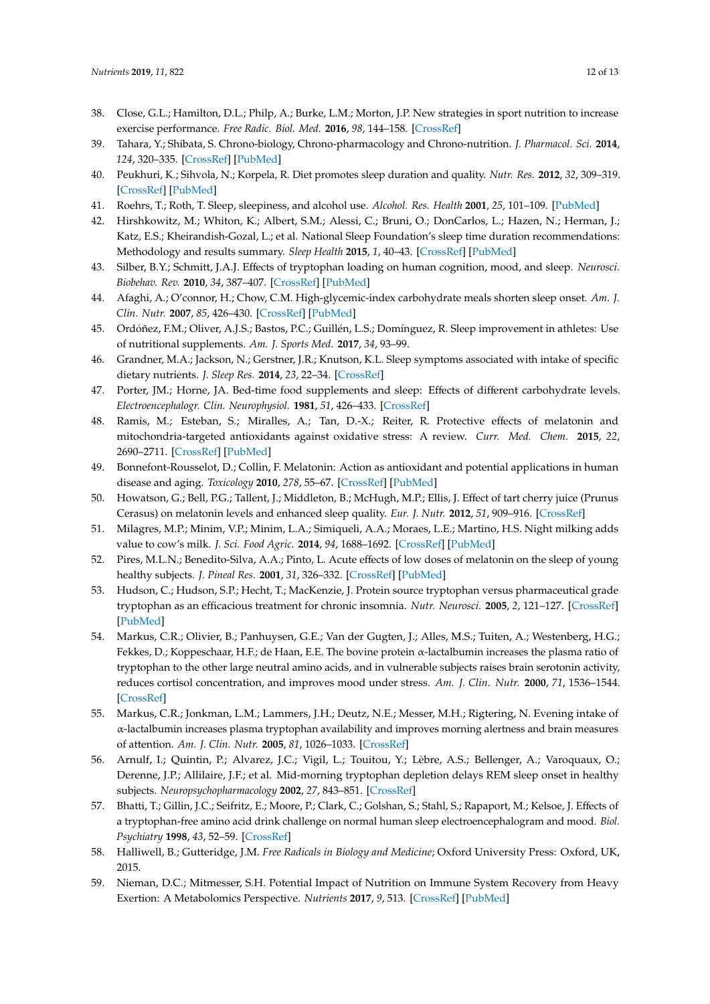- <span id="page-11-0"></span>38. Close, G.L.; Hamilton, D.L.; Philp, A.; Burke, L.M.; Morton, J.P. New strategies in sport nutrition to increase exercise performance. *Free Radic. Biol. Med.* **2016**, *98*, 144–158. [\[CrossRef\]](http://dx.doi.org/10.1016/j.freeradbiomed.2016.01.016)
- <span id="page-11-1"></span>39. Tahara, Y.; Shibata, S. Chrono-biology, Chrono-pharmacology and Chrono-nutrition. *J. Pharmacol. Sci.* **2014**, *124*, 320–335. [\[CrossRef\]](http://dx.doi.org/10.1254/jphs.13R06CR) [\[PubMed\]](http://www.ncbi.nlm.nih.gov/pubmed/24572815)
- <span id="page-11-2"></span>40. Peukhuri, K.; Sihvola, N.; Korpela, R. Diet promotes sleep duration and quality. *Nutr. Res.* **2012**, *32*, 309–319. [\[CrossRef\]](http://dx.doi.org/10.1016/j.nutres.2012.03.009) [\[PubMed\]](http://www.ncbi.nlm.nih.gov/pubmed/22652369)
- <span id="page-11-3"></span>41. Roehrs, T.; Roth, T. Sleep, sleepiness, and alcohol use. *Alcohol. Res. Health* **2001**, *25*, 101–109. [\[PubMed\]](http://www.ncbi.nlm.nih.gov/pubmed/11584549)
- <span id="page-11-4"></span>42. Hirshkowitz, M.; Whiton, K.; Albert, S.M.; Alessi, C.; Bruni, O.; DonCarlos, L.; Hazen, N.; Herman, J.; Katz, E.S.; Kheirandish-Gozal, L.; et al. National Sleep Foundation's sleep time duration recommendations: Methodology and results summary. *Sleep Health* **2015**, *1*, 40–43. [\[CrossRef\]](http://dx.doi.org/10.1016/j.sleh.2014.12.010) [\[PubMed\]](http://www.ncbi.nlm.nih.gov/pubmed/29073412)
- <span id="page-11-5"></span>43. Silber, B.Y.; Schmitt, J.A.J. Effects of tryptophan loading on human cognition, mood, and sleep. *Neurosci. Biobehav. Rev.* **2010**, *34*, 387–407. [\[CrossRef\]](http://dx.doi.org/10.1016/j.neubiorev.2009.08.005) [\[PubMed\]](http://www.ncbi.nlm.nih.gov/pubmed/19715722)
- <span id="page-11-6"></span>44. Afaghi, A.; O'connor, H.; Chow, C.M. High-glycemic-index carbohydrate meals shorten sleep onset. *Am. J. Clin. Nutr.* **2007**, *85*, 426–430. [\[CrossRef\]](http://dx.doi.org/10.1093/ajcn/85.2.426) [\[PubMed\]](http://www.ncbi.nlm.nih.gov/pubmed/17284739)
- <span id="page-11-7"></span>45. Ordóñez, F.M.; Oliver, A.J.S.; Bastos, P.C.; Guillén, L.S.; Domínguez, R. Sleep improvement in athletes: Use of nutritional supplements. *Am. J. Sports Med.* **2017**, *34*, 93–99.
- <span id="page-11-8"></span>46. Grandner, M.A.; Jackson, N.; Gerstner, J.R.; Knutson, K.L. Sleep symptoms associated with intake of specific dietary nutrients. *J. Sleep Res.* **2014**, *23*, 22–34. [\[CrossRef\]](http://dx.doi.org/10.1111/jsr.12084)
- <span id="page-11-9"></span>47. Porter, JM.; Horne, JA. Bed-time food supplements and sleep: Effects of different carbohydrate levels. *Electroencephalogr. Clin. Neurophysiol.* **1981**, *51*, 426–433. [\[CrossRef\]](http://dx.doi.org/10.1016/0013-4694(81)90106-1)
- <span id="page-11-10"></span>48. Ramis, M.; Esteban, S.; Miralles, A.; Tan, D.-X.; Reiter, R. Protective effects of melatonin and mitochondria-targeted antioxidants against oxidative stress: A review. *Curr. Med. Chem.* **2015**, *22*, 2690–2711. [\[CrossRef\]](http://dx.doi.org/10.2174/0929867322666150619104143) [\[PubMed\]](http://www.ncbi.nlm.nih.gov/pubmed/26087763)
- <span id="page-11-11"></span>49. Bonnefont-Rousselot, D.; Collin, F. Melatonin: Action as antioxidant and potential applications in human disease and aging. *Toxicology* **2010**, *278*, 55–67. [\[CrossRef\]](http://dx.doi.org/10.1016/j.tox.2010.04.008) [\[PubMed\]](http://www.ncbi.nlm.nih.gov/pubmed/20417677)
- <span id="page-11-12"></span>50. Howatson, G.; Bell, P.G.; Tallent, J.; Middleton, B.; McHugh, M.P.; Ellis, J. Effect of tart cherry juice (Prunus Cerasus) on melatonin levels and enhanced sleep quality. *Eur. J. Nutr.* **2012**, *51*, 909–916. [\[CrossRef\]](http://dx.doi.org/10.1007/s00394-011-0263-7)
- <span id="page-11-13"></span>51. Milagres, M.P.; Minim, V.P.; Minim, L.A.; Simiqueli, A.A.; Moraes, L.E.; Martino, H.S. Night milking adds value to cow's milk. *J. Sci. Food Agric.* **2014**, *94*, 1688–1692. [\[CrossRef\]](http://dx.doi.org/10.1002/jsfa.6480) [\[PubMed\]](http://www.ncbi.nlm.nih.gov/pubmed/24243550)
- <span id="page-11-14"></span>52. Pires, M.L.N.; Benedito-Silva, A.A.; Pinto, L. Acute effects of low doses of melatonin on the sleep of young healthy subjects. *J. Pineal Res.* **2001**, *31*, 326–332. [\[CrossRef\]](http://dx.doi.org/10.1034/j.1600-079X.2001.310407.x) [\[PubMed\]](http://www.ncbi.nlm.nih.gov/pubmed/11703562)
- <span id="page-11-15"></span>53. Hudson, C.; Hudson, S.P.; Hecht, T.; MacKenzie, J. Protein source tryptophan versus pharmaceutical grade tryptophan as an efficacious treatment for chronic insomnia. *Nutr. Neurosci.* **2005**, *2*, 121–127. [\[CrossRef\]](http://dx.doi.org/10.1080/10284150500069561) [\[PubMed\]](http://www.ncbi.nlm.nih.gov/pubmed/16053244)
- <span id="page-11-16"></span>54. Markus, C.R.; Olivier, B.; Panhuysen, G.E.; Van der Gugten, J.; Alles, M.S.; Tuiten, A.; Westenberg, H.G.; Fekkes, D.; Koppeschaar, H.F.; de Haan, E.E. The bovine protein  $\alpha$ -lactalbumin increases the plasma ratio of tryptophan to the other large neutral amino acids, and in vulnerable subjects raises brain serotonin activity, reduces cortisol concentration, and improves mood under stress. *Am. J. Clin. Nutr.* **2000**, *71*, 1536–1544. [\[CrossRef\]](http://dx.doi.org/10.1093/ajcn/71.6.1536)
- <span id="page-11-17"></span>55. Markus, C.R.; Jonkman, L.M.; Lammers, J.H.; Deutz, N.E.; Messer, M.H.; Rigtering, N. Evening intake of α-lactalbumin increases plasma tryptophan availability and improves morning alertness and brain measures of attention. *Am. J. Clin. Nutr.* **2005**, *81*, 1026–1033. [\[CrossRef\]](http://dx.doi.org/10.1093/ajcn/81.5.1026)
- <span id="page-11-18"></span>56. Arnulf, I.; Quintin, P.; Alvarez, J.C.; Vigil, L.; Touitou, Y.; Lèbre, A.S.; Bellenger, A.; Varoquaux, O.; Derenne, J.P.; Allilaire, J.F.; et al. Mid-morning tryptophan depletion delays REM sleep onset in healthy subjects. *Neuropsychopharmacology* **2002**, *27*, 843–851. [\[CrossRef\]](http://dx.doi.org/10.1016/S0893-133X(02)00358-5)
- <span id="page-11-19"></span>57. Bhatti, T.; Gillin, J.C.; Seifritz, E.; Moore, P.; Clark, C.; Golshan, S.; Stahl, S.; Rapaport, M.; Kelsoe, J. Effects of a tryptophan-free amino acid drink challenge on normal human sleep electroencephalogram and mood. *Biol. Psychiatry* **1998**, *43*, 52–59. [\[CrossRef\]](http://dx.doi.org/10.1016/S0006-3223(97)80252-1)
- <span id="page-11-20"></span>58. Halliwell, B.; Gutteridge, J.M. *Free Radicals in Biology and Medicine*; Oxford University Press: Oxford, UK, 2015.
- <span id="page-11-21"></span>59. Nieman, D.C.; Mitmesser, S.H. Potential Impact of Nutrition on Immune System Recovery from Heavy Exertion: A Metabolomics Perspective. *Nutrients* **2017**, *9*, 513. [\[CrossRef\]](http://dx.doi.org/10.3390/nu9050513) [\[PubMed\]](http://www.ncbi.nlm.nih.gov/pubmed/28524103)